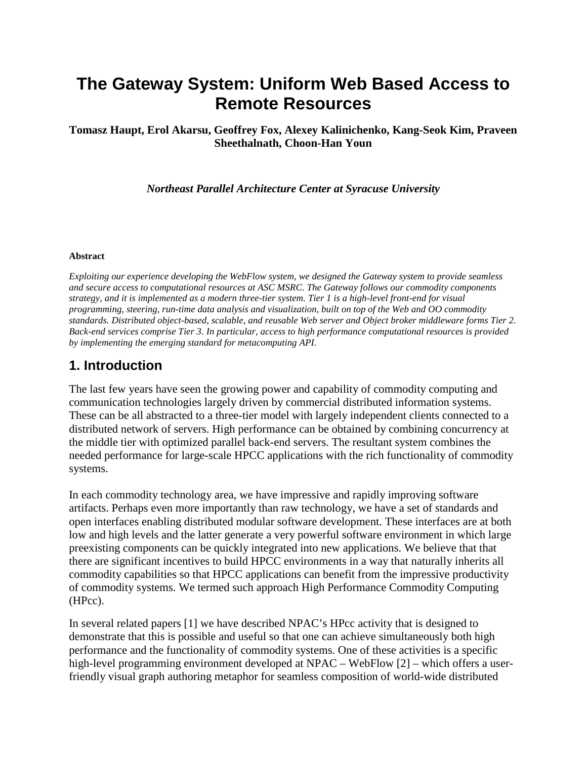# **The Gateway System: Uniform Web Based Access to Remote Resources**

**Tomasz Haupt, Erol Akarsu, Geoffrey Fox, Alexey Kalinichenko, Kang-Seok Kim, Praveen Sheethalnath, Choon-Han Youn**

*Northeast Parallel Architecture Center at Syracuse University*

#### **Abstract**

*Exploiting our experience developing the WebFlow system, we designed the Gateway system to provide seamless and secure access to computational resources at ASC MSRC. The Gateway follows our commodity components strategy, and it is implemented as a modern three-tier system. Tier 1 is a high-level front-end for visual programming, steering, run-time data analysis and visualization, built on top of the Web and OO commodity standards. Distributed object-based, scalable, and reusable Web server and Object broker middleware forms Tier 2. Back-end services comprise Tier 3. In particular, access to high performance computational resources is provided by implementing the emerging standard for metacomputing API.*

### **1. Introduction**

The last few years have seen the growing power and capability of commodity computing and communication technologies largely driven by commercial distributed information systems. These can be all abstracted to a three-tier model with largely independent clients connected to a distributed network of servers. High performance can be obtained by combining concurrency at the middle tier with optimized parallel back-end servers. The resultant system combines the needed performance for large-scale HPCC applications with the rich functionality of commodity systems.

In each commodity technology area, we have impressive and rapidly improving software artifacts. Perhaps even more importantly than raw technology, we have a set of standards and open interfaces enabling distributed modular software development. These interfaces are at both low and high levels and the latter generate a very powerful software environment in which large preexisting components can be quickly integrated into new applications. We believe that that there are significant incentives to build HPCC environments in a way that naturally inherits all commodity capabilities so that HPCC applications can benefit from the impressive productivity of commodity systems. We termed such approach High Performance Commodity Computing (HPcc).

In several related papers [1] we have described NPAC's HPcc activity that is designed to demonstrate that this is possible and useful so that one can achieve simultaneously both high performance and the functionality of commodity systems. One of these activities is a specific high-level programming environment developed at NPAC – WebFlow [2] – which offers a userfriendly visual graph authoring metaphor for seamless composition of world-wide distributed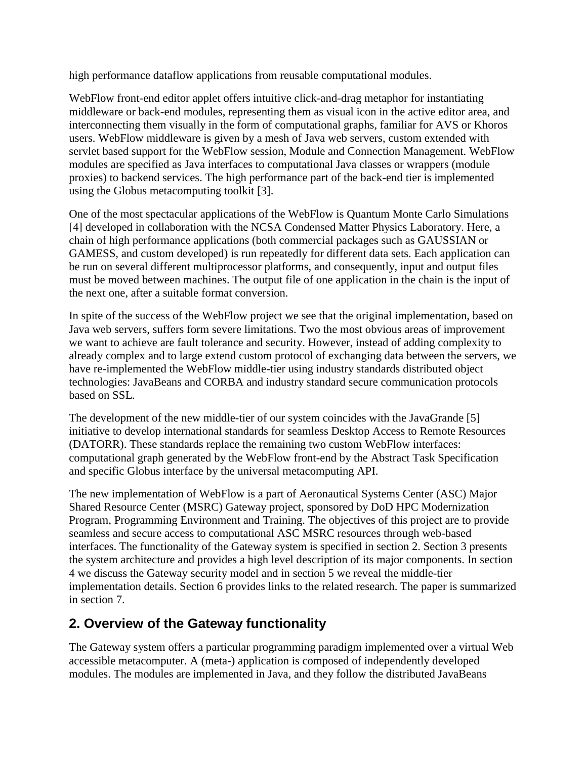high performance dataflow applications from reusable computational modules.

WebFlow front-end editor applet offers intuitive click-and-drag metaphor for instantiating middleware or back-end modules, representing them as visual icon in the active editor area, and interconnecting them visually in the form of computational graphs, familiar for AVS or Khoros users. WebFlow middleware is given by a mesh of Java web servers, custom extended with servlet based support for the WebFlow session, Module and Connection Management. WebFlow modules are specified as Java interfaces to computational Java classes or wrappers (module proxies) to backend services. The high performance part of the back-end tier is implemented using the Globus metacomputing toolkit [3].

One of the most spectacular applications of the WebFlow is Quantum Monte Carlo Simulations [4] developed in collaboration with the NCSA Condensed Matter Physics Laboratory. Here, a chain of high performance applications (both commercial packages such as GAUSSIAN or GAMESS, and custom developed) is run repeatedly for different data sets. Each application can be run on several different multiprocessor platforms, and consequently, input and output files must be moved between machines. The output file of one application in the chain is the input of the next one, after a suitable format conversion.

In spite of the success of the WebFlow project we see that the original implementation, based on Java web servers, suffers form severe limitations. Two the most obvious areas of improvement we want to achieve are fault tolerance and security. However, instead of adding complexity to already complex and to large extend custom protocol of exchanging data between the servers, we have re-implemented the WebFlow middle-tier using industry standards distributed object technologies: JavaBeans and CORBA and industry standard secure communication protocols based on SSL.

The development of the new middle-tier of our system coincides with the JavaGrande [5] initiative to develop international standards for seamless Desktop Access to Remote Resources (DATORR). These standards replace the remaining two custom WebFlow interfaces: computational graph generated by the WebFlow front-end by the Abstract Task Specification and specific Globus interface by the universal metacomputing API.

The new implementation of WebFlow is a part of Aeronautical Systems Center (ASC) Major Shared Resource Center (MSRC) Gateway project, sponsored by DoD HPC Modernization Program, Programming Environment and Training. The objectives of this project are to provide seamless and secure access to computational ASC MSRC resources through web-based interfaces. The functionality of the Gateway system is specified in section 2. Section 3 presents the system architecture and provides a high level description of its major components. In section 4 we discuss the Gateway security model and in section 5 we reveal the middle-tier implementation details. Section 6 provides links to the related research. The paper is summarized in section 7.

## **2. Overview of the Gateway functionality**

The Gateway system offers a particular programming paradigm implemented over a virtual Web accessible metacomputer. A (meta-) application is composed of independently developed modules. The modules are implemented in Java, and they follow the distributed JavaBeans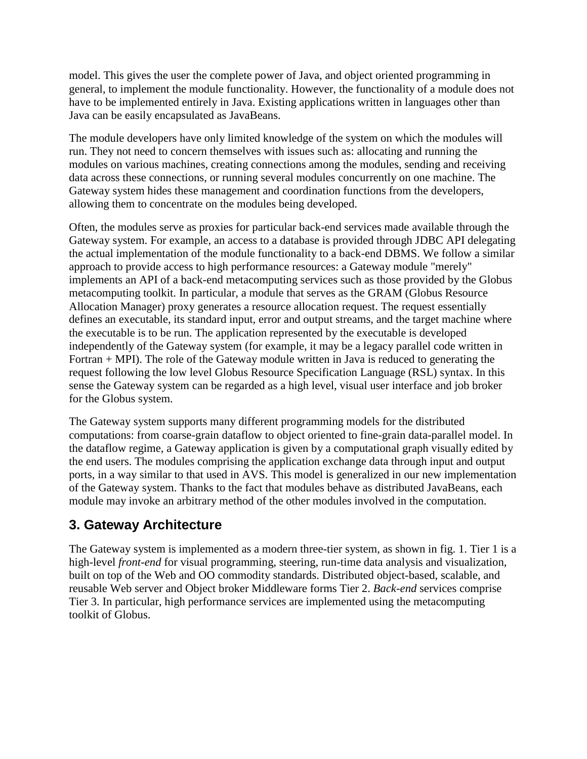model. This gives the user the complete power of Java, and object oriented programming in general, to implement the module functionality. However, the functionality of a module does not have to be implemented entirely in Java. Existing applications written in languages other than Java can be easily encapsulated as JavaBeans.

The module developers have only limited knowledge of the system on which the modules will run. They not need to concern themselves with issues such as: allocating and running the modules on various machines, creating connections among the modules, sending and receiving data across these connections, or running several modules concurrently on one machine. The Gateway system hides these management and coordination functions from the developers, allowing them to concentrate on the modules being developed.

Often, the modules serve as proxies for particular back-end services made available through the Gateway system. For example, an access to a database is provided through JDBC API delegating the actual implementation of the module functionality to a back-end DBMS. We follow a similar approach to provide access to high performance resources: a Gateway module "merely" implements an API of a back-end metacomputing services such as those provided by the Globus metacomputing toolkit. In particular, a module that serves as the GRAM (Globus Resource Allocation Manager) proxy generates a resource allocation request. The request essentially defines an executable, its standard input, error and output streams, and the target machine where the executable is to be run. The application represented by the executable is developed independently of the Gateway system (for example, it may be a legacy parallel code written in Fortran + MPI). The role of the Gateway module written in Java is reduced to generating the request following the low level Globus Resource Specification Language (RSL) syntax. In this sense the Gateway system can be regarded as a high level, visual user interface and job broker for the Globus system.

The Gateway system supports many different programming models for the distributed computations: from coarse-grain dataflow to object oriented to fine-grain data-parallel model. In the dataflow regime, a Gateway application is given by a computational graph visually edited by the end users. The modules comprising the application exchange data through input and output ports, in a way similar to that used in AVS. This model is generalized in our new implementation of the Gateway system. Thanks to the fact that modules behave as distributed JavaBeans, each module may invoke an arbitrary method of the other modules involved in the computation.

## **3. Gateway Architecture**

The Gateway system is implemented as a modern three-tier system, as shown in fig. 1. Tier 1 is a high-level *front-end* for visual programming, steering, run-time data analysis and visualization, built on top of the Web and OO commodity standards. Distributed object-based, scalable, and reusable Web server and Object broker Middleware forms Tier 2. *Back-end* services comprise Tier 3. In particular, high performance services are implemented using the metacomputing toolkit of Globus.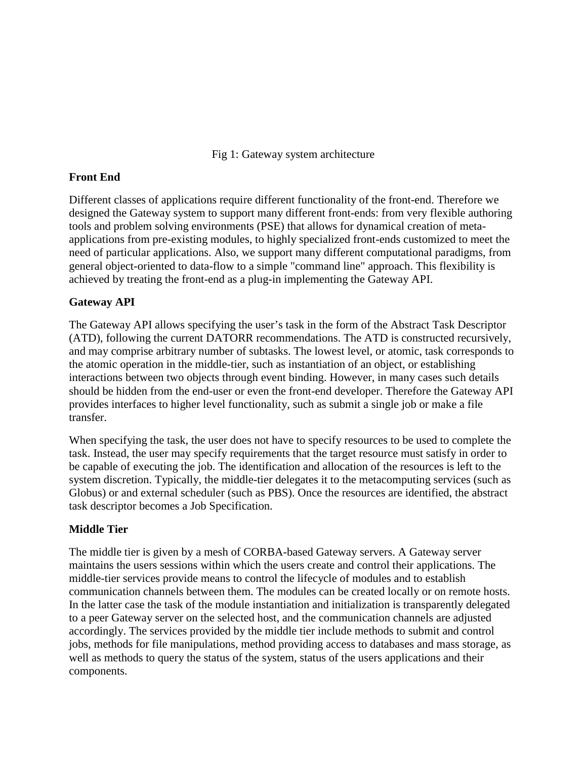Fig 1: Gateway system architecture

#### **Front End**

Different classes of applications require different functionality of the front-end. Therefore we designed the Gateway system to support many different front-ends: from very flexible authoring tools and problem solving environments (PSE) that allows for dynamical creation of metaapplications from pre-existing modules, to highly specialized front-ends customized to meet the need of particular applications. Also, we support many different computational paradigms, from general object-oriented to data-flow to a simple "command line" approach. This flexibility is achieved by treating the front-end as a plug-in implementing the Gateway API.

#### **Gateway API**

The Gateway API allows specifying the user's task in the form of the Abstract Task Descriptor (ATD), following the current DATORR recommendations. The ATD is constructed recursively, and may comprise arbitrary number of subtasks. The lowest level, or atomic, task corresponds to the atomic operation in the middle-tier, such as instantiation of an object, or establishing interactions between two objects through event binding. However, in many cases such details should be hidden from the end-user or even the front-end developer. Therefore the Gateway API provides interfaces to higher level functionality, such as submit a single job or make a file transfer.

When specifying the task, the user does not have to specify resources to be used to complete the task. Instead, the user may specify requirements that the target resource must satisfy in order to be capable of executing the job. The identification and allocation of the resources is left to the system discretion. Typically, the middle-tier delegates it to the metacomputing services (such as Globus) or and external scheduler (such as PBS). Once the resources are identified, the abstract task descriptor becomes a Job Specification.

#### **Middle Tier**

The middle tier is given by a mesh of CORBA-based Gateway servers. A Gateway server maintains the users sessions within which the users create and control their applications. The middle-tier services provide means to control the lifecycle of modules and to establish communication channels between them. The modules can be created locally or on remote hosts. In the latter case the task of the module instantiation and initialization is transparently delegated to a peer Gateway server on the selected host, and the communication channels are adjusted accordingly. The services provided by the middle tier include methods to submit and control jobs, methods for file manipulations, method providing access to databases and mass storage, as well as methods to query the status of the system, status of the users applications and their components.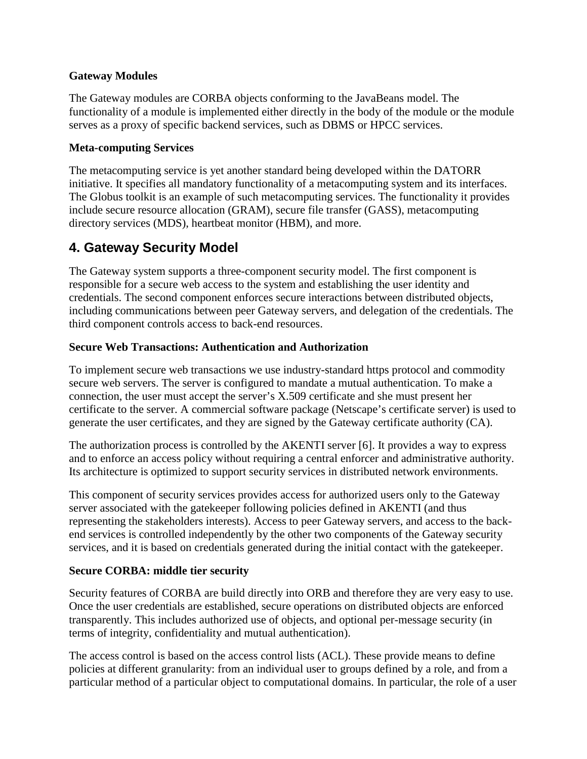#### **Gateway Modules**

The Gateway modules are CORBA objects conforming to the JavaBeans model. The functionality of a module is implemented either directly in the body of the module or the module serves as a proxy of specific backend services, such as DBMS or HPCC services.

#### **Meta-computing Services**

The metacomputing service is yet another standard being developed within the DATORR initiative. It specifies all mandatory functionality of a metacomputing system and its interfaces. The Globus toolkit is an example of such metacomputing services. The functionality it provides include secure resource allocation (GRAM), secure file transfer (GASS), metacomputing directory services (MDS), heartbeat monitor (HBM), and more.

### **4. Gateway Security Model**

The Gateway system supports a three-component security model. The first component is responsible for a secure web access to the system and establishing the user identity and credentials. The second component enforces secure interactions between distributed objects, including communications between peer Gateway servers, and delegation of the credentials. The third component controls access to back-end resources.

#### **Secure Web Transactions: Authentication and Authorization**

To implement secure web transactions we use industry-standard https protocol and commodity secure web servers. The server is configured to mandate a mutual authentication. To make a connection, the user must accept the server's X.509 certificate and she must present her certificate to the server. A commercial software package (Netscape's certificate server) is used to generate the user certificates, and they are signed by the Gateway certificate authority (CA).

The authorization process is controlled by the AKENTI server [6]. It provides a way to express and to enforce an access policy without requiring a central enforcer and administrative authority. Its architecture is optimized to support security services in distributed network environments.

This component of security services provides access for authorized users only to the Gateway server associated with the gatekeeper following policies defined in AKENTI (and thus representing the stakeholders interests). Access to peer Gateway servers, and access to the backend services is controlled independently by the other two components of the Gateway security services, and it is based on credentials generated during the initial contact with the gatekeeper.

#### **Secure CORBA: middle tier security**

Security features of CORBA are build directly into ORB and therefore they are very easy to use. Once the user credentials are established, secure operations on distributed objects are enforced transparently. This includes authorized use of objects, and optional per-message security (in terms of integrity, confidentiality and mutual authentication).

The access control is based on the access control lists (ACL). These provide means to define policies at different granularity: from an individual user to groups defined by a role, and from a particular method of a particular object to computational domains. In particular, the role of a user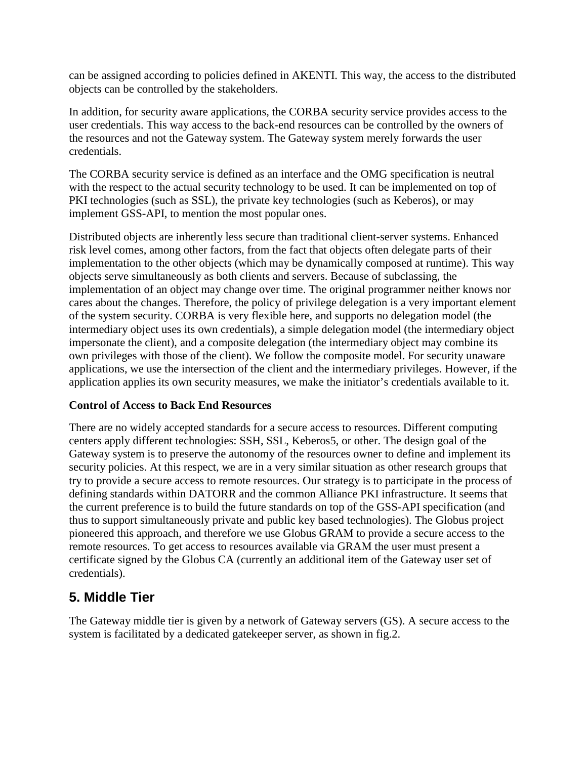can be assigned according to policies defined in AKENTI. This way, the access to the distributed objects can be controlled by the stakeholders.

In addition, for security aware applications, the CORBA security service provides access to the user credentials. This way access to the back-end resources can be controlled by the owners of the resources and not the Gateway system. The Gateway system merely forwards the user credentials.

The CORBA security service is defined as an interface and the OMG specification is neutral with the respect to the actual security technology to be used. It can be implemented on top of PKI technologies (such as SSL), the private key technologies (such as Keberos), or may implement GSS-API, to mention the most popular ones.

Distributed objects are inherently less secure than traditional client-server systems. Enhanced risk level comes, among other factors, from the fact that objects often delegate parts of their implementation to the other objects (which may be dynamically composed at runtime). This way objects serve simultaneously as both clients and servers. Because of subclassing, the implementation of an object may change over time. The original programmer neither knows nor cares about the changes. Therefore, the policy of privilege delegation is a very important element of the system security. CORBA is very flexible here, and supports no delegation model (the intermediary object uses its own credentials), a simple delegation model (the intermediary object impersonate the client), and a composite delegation (the intermediary object may combine its own privileges with those of the client). We follow the composite model. For security unaware applications, we use the intersection of the client and the intermediary privileges. However, if the application applies its own security measures, we make the initiator's credentials available to it.

#### **Control of Access to Back End Resources**

There are no widely accepted standards for a secure access to resources. Different computing centers apply different technologies: SSH, SSL, Keberos5, or other. The design goal of the Gateway system is to preserve the autonomy of the resources owner to define and implement its security policies. At this respect, we are in a very similar situation as other research groups that try to provide a secure access to remote resources. Our strategy is to participate in the process of defining standards within DATORR and the common Alliance PKI infrastructure. It seems that the current preference is to build the future standards on top of the GSS-API specification (and thus to support simultaneously private and public key based technologies). The Globus project pioneered this approach, and therefore we use Globus GRAM to provide a secure access to the remote resources. To get access to resources available via GRAM the user must present a certificate signed by the Globus CA (currently an additional item of the Gateway user set of credentials).

## **5. Middle Tier**

The Gateway middle tier is given by a network of Gateway servers (GS). A secure access to the system is facilitated by a dedicated gatekeeper server, as shown in fig.2.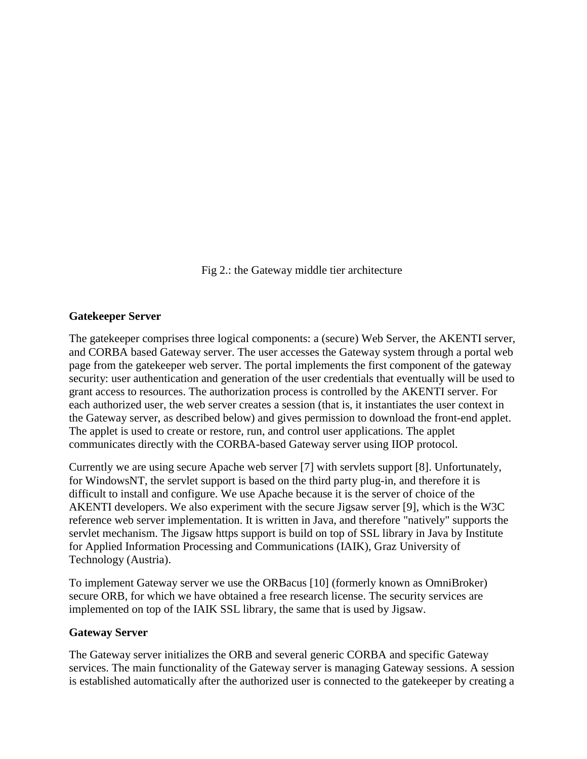Fig 2.: the Gateway middle tier architecture

#### **Gatekeeper Server**

The gatekeeper comprises three logical components: a (secure) Web Server, the AKENTI server, and CORBA based Gateway server. The user accesses the Gateway system through a portal web page from the gatekeeper web server. The portal implements the first component of the gateway security: user authentication and generation of the user credentials that eventually will be used to grant access to resources. The authorization process is controlled by the AKENTI server. For each authorized user, the web server creates a session (that is, it instantiates the user context in the Gateway server, as described below) and gives permission to download the front-end applet. The applet is used to create or restore, run, and control user applications. The applet communicates directly with the CORBA-based Gateway server using IIOP protocol.

Currently we are using secure Apache web server [7] with servlets support [8]. Unfortunately, for WindowsNT, the servlet support is based on the third party plug-in, and therefore it is difficult to install and configure. We use Apache because it is the server of choice of the AKENTI developers. We also experiment with the secure Jigsaw server [9], which is the W3C reference web server implementation. It is written in Java, and therefore "natively" supports the servlet mechanism. The Jigsaw https support is build on top of SSL library in Java by Institute for Applied Information Processing and Communications (IAIK), Graz University of Technology (Austria).

To implement Gateway server we use the ORBacus [10] (formerly known as OmniBroker) secure ORB, for which we have obtained a free research license. The security services are implemented on top of the IAIK SSL library, the same that is used by Jigsaw.

#### **Gateway Server**

The Gateway server initializes the ORB and several generic CORBA and specific Gateway services. The main functionality of the Gateway server is managing Gateway sessions. A session is established automatically after the authorized user is connected to the gatekeeper by creating a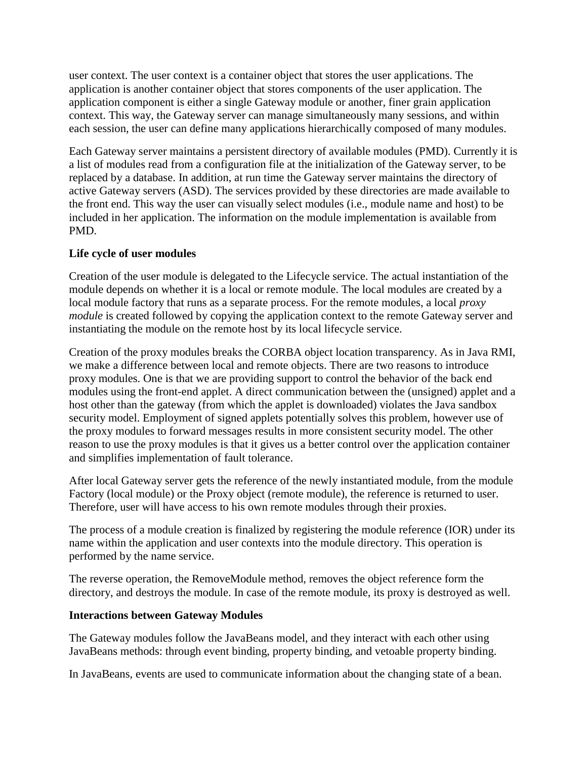user context. The user context is a container object that stores the user applications. The application is another container object that stores components of the user application. The application component is either a single Gateway module or another, finer grain application context. This way, the Gateway server can manage simultaneously many sessions, and within each session, the user can define many applications hierarchically composed of many modules.

Each Gateway server maintains a persistent directory of available modules (PMD). Currently it is a list of modules read from a configuration file at the initialization of the Gateway server, to be replaced by a database. In addition, at run time the Gateway server maintains the directory of active Gateway servers (ASD). The services provided by these directories are made available to the front end. This way the user can visually select modules (i.e., module name and host) to be included in her application. The information on the module implementation is available from PMD.

#### **Life cycle of user modules**

Creation of the user module is delegated to the Lifecycle service. The actual instantiation of the module depends on whether it is a local or remote module. The local modules are created by a local module factory that runs as a separate process. For the remote modules, a local *proxy module* is created followed by copying the application context to the remote Gateway server and instantiating the module on the remote host by its local lifecycle service.

Creation of the proxy modules breaks the CORBA object location transparency. As in Java RMI, we make a difference between local and remote objects. There are two reasons to introduce proxy modules. One is that we are providing support to control the behavior of the back end modules using the front-end applet. A direct communication between the (unsigned) applet and a host other than the gateway (from which the applet is downloaded) violates the Java sandbox security model. Employment of signed applets potentially solves this problem, however use of the proxy modules to forward messages results in more consistent security model. The other reason to use the proxy modules is that it gives us a better control over the application container and simplifies implementation of fault tolerance.

After local Gateway server gets the reference of the newly instantiated module, from the module Factory (local module) or the Proxy object (remote module), the reference is returned to user. Therefore, user will have access to his own remote modules through their proxies.

The process of a module creation is finalized by registering the module reference (IOR) under its name within the application and user contexts into the module directory. This operation is performed by the name service.

The reverse operation, the RemoveModule method, removes the object reference form the directory, and destroys the module. In case of the remote module, its proxy is destroyed as well.

#### **Interactions between Gateway Modules**

The Gateway modules follow the JavaBeans model, and they interact with each other using JavaBeans methods: through event binding, property binding, and vetoable property binding.

In JavaBeans, events are used to communicate information about the changing state of a bean.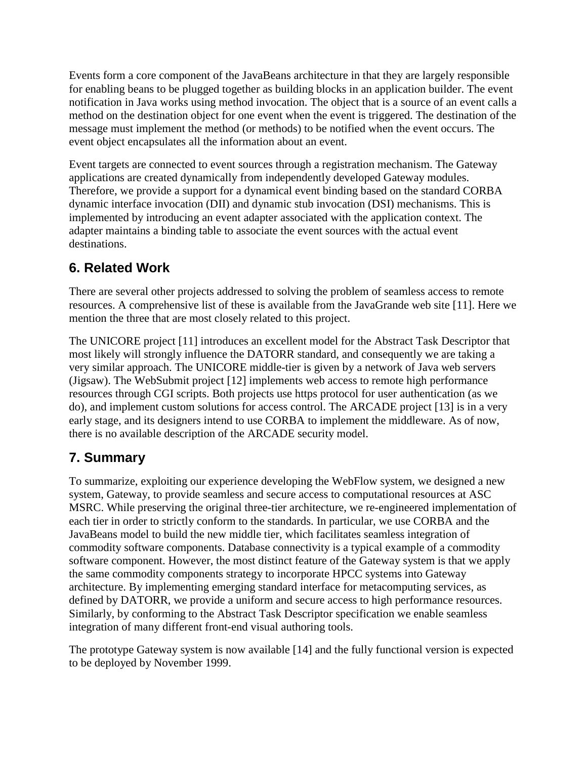Events form a core component of the JavaBeans architecture in that they are largely responsible for enabling beans to be plugged together as building blocks in an application builder. The event notification in Java works using method invocation. The object that is a source of an event calls a method on the destination object for one event when the event is triggered. The destination of the message must implement the method (or methods) to be notified when the event occurs. The event object encapsulates all the information about an event.

Event targets are connected to event sources through a registration mechanism. The Gateway applications are created dynamically from independently developed Gateway modules. Therefore, we provide a support for a dynamical event binding based on the standard CORBA dynamic interface invocation (DII) and dynamic stub invocation (DSI) mechanisms. This is implemented by introducing an event adapter associated with the application context. The adapter maintains a binding table to associate the event sources with the actual event destinations.

## **6. Related Work**

There are several other projects addressed to solving the problem of seamless access to remote resources. A comprehensive list of these is available from the JavaGrande web site [11]. Here we mention the three that are most closely related to this project.

The UNICORE project [11] introduces an excellent model for the Abstract Task Descriptor that most likely will strongly influence the DATORR standard, and consequently we are taking a very similar approach. The UNICORE middle-tier is given by a network of Java web servers (Jigsaw). The WebSubmit project [12] implements web access to remote high performance resources through CGI scripts. Both projects use https protocol for user authentication (as we do), and implement custom solutions for access control. The ARCADE project [13] is in a very early stage, and its designers intend to use CORBA to implement the middleware. As of now, there is no available description of the ARCADE security model.

# **7. Summary**

To summarize, exploiting our experience developing the WebFlow system, we designed a new system, Gateway, to provide seamless and secure access to computational resources at ASC MSRC. While preserving the original three-tier architecture, we re-engineered implementation of each tier in order to strictly conform to the standards. In particular, we use CORBA and the JavaBeans model to build the new middle tier, which facilitates seamless integration of commodity software components. Database connectivity is a typical example of a commodity software component. However, the most distinct feature of the Gateway system is that we apply the same commodity components strategy to incorporate HPCC systems into Gateway architecture. By implementing emerging standard interface for metacomputing services, as defined by DATORR, we provide a uniform and secure access to high performance resources. Similarly, by conforming to the Abstract Task Descriptor specification we enable seamless integration of many different front-end visual authoring tools.

The prototype Gateway system is now available [14] and the fully functional version is expected to be deployed by November 1999.